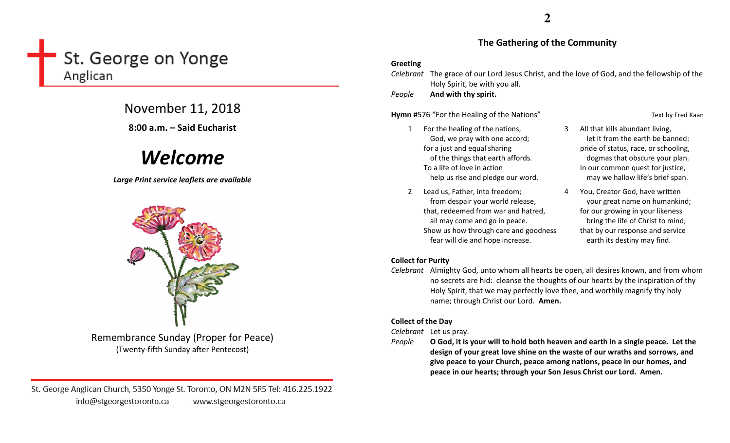# St. George on Yonge Anglican

November 11, 2018

8:00 a.m. – Said Eucharist

# Welcome

Large Print service leaflets are available



Remembrance Sunday (Proper for Peace) (Twenty-fifth Sunday after Pentecost)

St. George Anglican Church, 5350 Yonge St. Toronto, ON M2N 5R5 Tel: 416.225.1922 info@stgeorgestoronto.ca www.stgeorgestoronto.ca

### The Gathering of the Community

#### Greeting

Celebrant The grace of our Lord Jesus Christ, and the love of God, and the fellowship of the Holy Spirit, be with you all.

PeopleAnd with thy spirit.

Hymn #576 "For the Healing of the Nations" Text by Fred Kaan

- 1 For the healing of the nations, God, we pray with one accord; for a just and equal sharing of the things that earth affords. To a life of love in action help us rise and pledge our word.
- 2 Lead us, Father, into freedom; from despair your world release, that, redeemed from war and hatred, all may come and go in peace. Show us how through care and goodnessfear will die and hope increase.
- 3 All that kills abundant living, let it from the earth be banned: pride of status, race, or schooling, dogmas that obscure your plan. In our common quest for justice, may we hallow life's brief span.
- 4 You, Creator God, have written your great name on humankind; for our growing in your likeness bring the life of Christ to mind; that by our response and service earth its destiny may find.

# Collect for Purity

Celebrant Almighty God, unto whom all hearts be open, all desires known, and from whom no secrets are hid: cleanse the thoughts of our hearts by the inspiration of thy Holy Spirit, that we may perfectly love thee, and worthily magnify thy holy name; through Christ our Lord. Amen.

# Collect of the Day

Celebrant Let us pray.

People O God, it is your will to hold both heaven and earth in a single peace. Let the design of your great love shine on the waste of our wraths and sorrows, and give peace to your Church, peace among nations, peace in our homes, and peace in our hearts; through your Son Jesus Christ our Lord. Amen.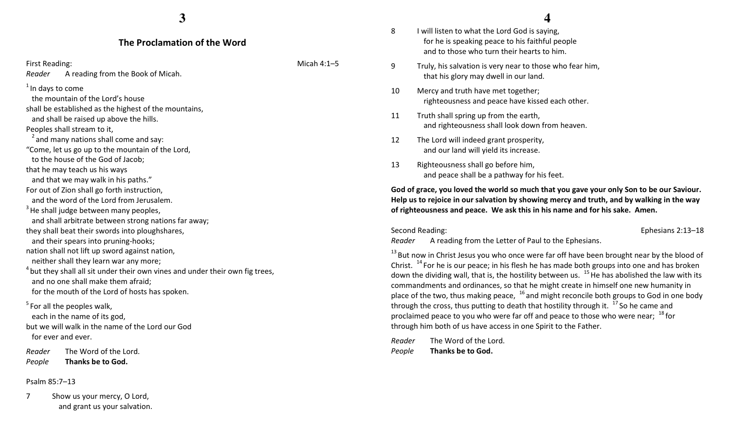#### The Proclamation of the Word

First Reading: Notice and The Contract of the Contract of the Micah 4:1–5 Reader A reading from the Book of Micah.

 $1$ In days to come

 the mountain of the Lord's house shall be established as the highest of the mountains,

and shall be raised up above the hills.

Peoples shall stream to it,

 $2$  and many nations shall come and say:

"Come, let us go up to the mountain of the Lord, to the house of the God of Jacob;

that he may teach us his ways

and that we may walk in his paths."

For out of Zion shall go forth instruction,

and the word of the Lord from Jerusalem.

 $3$  He shall judge between many peoples,

and shall arbitrate between strong nations far away;

they shall beat their swords into ploughshares,

and their spears into pruning-hooks;

nation shall not lift up sword against nation, neither shall they learn war any more;

 $4$  but they shall all sit under their own vines and under their own fig trees, and no one shall make them afraid; for the mouth of the Lord of hosts has spoken.

 $<sup>5</sup>$  For all the peoples walk,</sup> each in the name of its god, but we will walk in the name of the Lord our God for ever and ever.

Reader The Word of the Lord. PeopleThanks be to God.

#### Psalm 85:7–13

7 Show us your mercy, O Lord, and grant us your salvation. **4**

- 8 I will listen to what the Lord God is saying, for he is speaking peace to his faithful people and to those who turn their hearts to him.
- 9 Truly, his salvation is very near to those who fear him, that his glory may dwell in our land.
- 10 Mercy and truth have met together; righteousness and peace have kissed each other.
- 11 Truth shall spring up from the earth, and righteousness shall look down from heaven.
- 12 The Lord will indeed grant prosperity, and our land will yield its increase.
- 13 Righteousness shall go before him, and peace shall be a pathway for his feet.

God of grace, you loved the world so much that you gave your only Son to be our Saviour. Help us to rejoice in our salvation by showing mercy and truth, and by walking in the way of righteousness and peace. We ask this in his name and for his sake. Amen.

Second Reading: Ephesians 2:13–18

Reader A reading from the Letter of Paul to the Ephesians.

 $13$  But now in Christ Jesus you who once were far off have been brought near by the blood of Christ.  $14$  For he is our peace; in his flesh he has made both groups into one and has broken down the dividing wall, that is, the hostility between us.  $^{15}$  He has abolished the law with its commandments and ordinances, so that he might create in himself one new humanity in place of the two, thus making peace,  $16$  and might reconcile both groups to God in one body through the cross, thus putting to death that hostility through it.  $17$  So he came and proclaimed peace to you who were far off and peace to those who were near;  $^{18}$  for through him both of us have access in one Spirit to the Father.

Reader The Word of the Lord. PeopleThanks be to God.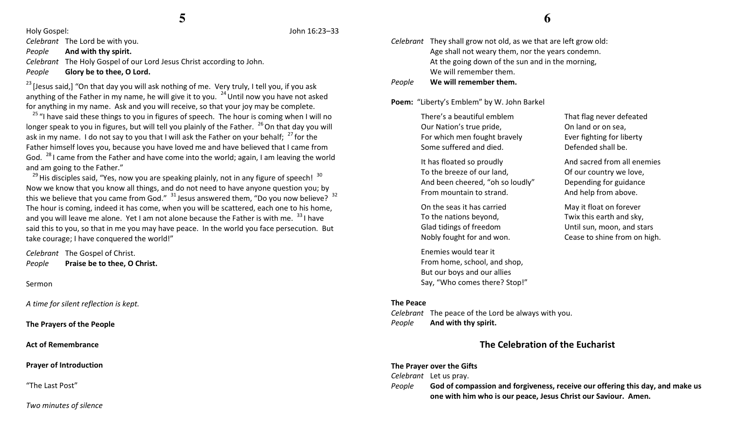Holy Gospel: John 16:23–33

Celebrant The Lord be with you.

PeopleAnd with thy spirit.

Celebrant The Holy Gospel of our Lord Jesus Christ according to John.

PeopleGlory be to thee, O Lord.

 $23$  [Jesus said,] "On that day you will ask nothing of me. Very truly, I tell you, if you ask anything of the Father in my name, he will give it to you.  $^{24}$  Until now you have not asked for anything in my name. Ask and you will receive, so that your joy may be complete.

<sup>25</sup> "I have said these things to you in figures of speech. The hour is coming when I will no longer speak to you in figures, but will tell you plainly of the Father.  $^{26}$  On that day you will ask in my name. I do not say to you that I will ask the Father on your behalf;  $27$  for the Father himself loves you, because you have loved me and have believed that I came from God.  $^{28}$ I came from the Father and have come into the world; again, I am leaving the world and am going to the Father."

 $^{29}$ His disciples said, "Yes, now you are speaking plainly, not in any figure of speech!  $^{30}$ Now we know that you know all things, and do not need to have anyone question you; by this we believe that you came from God."  $31$  Jesus answered them, "Do you now believe?  $32$ The hour is coming, indeed it has come, when you will be scattered, each one to his home, and you will leave me alone. Yet I am not alone because the Father is with me.  $331$  have said this to you, so that in me you may have peace. In the world you face persecution. But take courage; I have conquered the world!"

Celebrant The Gospel of Christ. PeoplePraise be to thee, O Christ.

Sermon

A time for silent reflection is kept.

The Prayers of the People

Act of Remembrance

Prayer of Introduction

"The Last Post"

Two minutes of silence

# **6**

Celebrant They shall grow not old, as we that are left grow old: Age shall not weary them, nor the years condemn. At the going down of the sun and in the morning, We will remember them.

PeopleWe will remember them.

Poem: "Liberty's Emblem" by W. John Barkel

There's a beautiful emblemOur Nation's true pride, For which men fought bravely Some suffered and died.

It has floated so proudly To the breeze of our land, And been cheered, "oh so loudly" From mountain to strand.

On the seas it has carried To the nations beyond, Glad tidings of freedom Nobly fought for and won.

Enemies would tear it From home, school, and shop, But our boys and our allies Say, "Who comes there? Stop!"

#### The Peace

Celebrant The peace of the Lord be always with you. PeopleAnd with thy spirit.

That flag never defeatedOn land or on sea, Ever fighting for liberty Defended shall be.

And sacred from all enemies Of our country we love, Depending for guidance And help from above.

May it float on forever Twix this earth and sky, Until sun, moon, and stars Cease to shine from on high.

# The Celebration of the Eucharist

#### The Prayer over the Gifts

Celebrant Let us pray.

People God of compassion and forgiveness, receive our offering this day, and make us one with him who is our peace, Jesus Christ our Saviour. Amen.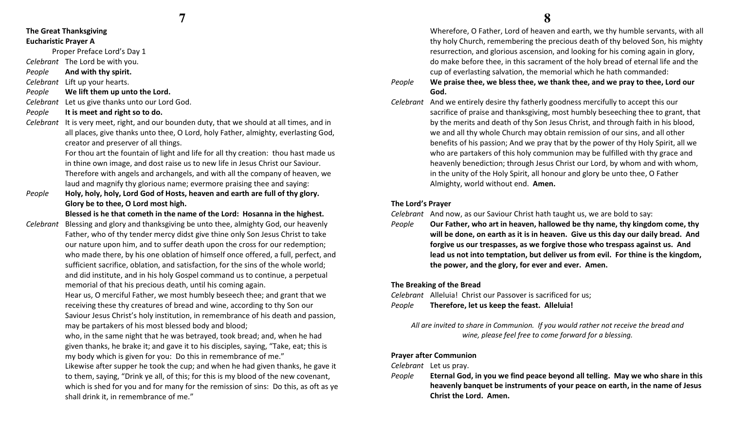# The Great Thanksgiving Eucharistic Prayer A

Proper Preface Lord's Day 1

Celebrant The Lord be with you.

PeopleAnd with thy spirit.

Celebrant Lift up your hearts.

- PeopleWe lift them up unto the Lord.
- Celebrant Let us give thanks unto our Lord God.
- PeopleIt is meet and right so to do.
- Celebrant It is very meet, right, and our bounden duty, that we should at all times, and in all places, give thanks unto thee, O Lord, holy Father, almighty, everlasting God, creator and preserver of all things.

For thou art the fountain of light and life for all thy creation: thou hast made us in thine own image, and dost raise us to new life in Jesus Christ our Saviour. Therefore with angels and archangels, and with all the company of heaven, we laud and magnify thy glorious name; evermore praising thee and saying:

People Holy, holy, holy, Lord God of Hosts, heaven and earth are full of thy glory. Glory be to thee, O Lord most high.

Blessed is he that cometh in the name of the Lord: Hosanna in the highest.

Celebrant Blessing and glory and thanksgiving be unto thee, almighty God, our heavenly Father, who of thy tender mercy didst give thine only Son Jesus Christ to take our nature upon him, and to suffer death upon the cross for our redemption; who made there, by his one oblation of himself once offered, a full, perfect, and sufficient sacrifice, oblation, and satisfaction, for the sins of the whole world; and did institute, and in his holy Gospel command us to continue, a perpetual memorial of that his precious death, until his coming again.

> Hear us, O merciful Father, we most humbly beseech thee; and grant that we receiving these thy creatures of bread and wine, according to thy Son our Saviour Jesus Christ's holy institution, in remembrance of his death and passion, may be partakers of his most blessed body and blood;

- who, in the same night that he was betrayed, took bread; and, when he had given thanks, he brake it; and gave it to his disciples, saying, "Take, eat; this is my body which is given for you: Do this in remembrance of me."
- Likewise after supper he took the cup; and when he had given thanks, he gave it to them, saying, "Drink ye all, of this; for this is my blood of the new covenant, which is shed for you and for many for the remission of sins: Do this, as oft as ye shall drink it, in remembrance of me."

 Wherefore, O Father, Lord of heaven and earth, we thy humble servants, with all thy holy Church, remembering the precious death of thy beloved Son, his mighty resurrection, and glorious ascension, and looking for his coming again in glory, do make before thee, in this sacrament of the holy bread of eternal life and the cup of everlasting salvation, the memorial which he hath commanded:

- People We praise thee, we bless thee, we thank thee, and we pray to thee, Lord our God.
- Celebrant And we entirely desire thy fatherly goodness mercifully to accept this our sacrifice of praise and thanksgiving, most humbly beseeching thee to grant, that by the merits and death of thy Son Jesus Christ, and through faith in his blood, we and all thy whole Church may obtain remission of our sins, and all other benefits of his passion; And we pray that by the power of thy Holy Spirit, all we who are partakers of this holy communion may be fulfilled with thy grace and heavenly benediction; through Jesus Christ our Lord, by whom and with whom, in the unity of the Holy Spirit, all honour and glory be unto thee, O Father Almighty, world without end. Amen.

### The Lord's Prayer

Celebrant And now, as our Saviour Christ hath taught us, we are bold to say:

People Our Father, who art in heaven, hallowed be thy name, thy kingdom come, thy will be done, on earth as it is in heaven. Give us this day our daily bread. And forgive us our trespasses, as we forgive those who trespass against us. And lead us not into temptation, but deliver us from evil. For thine is the kingdom, the power, and the glory, for ever and ever. Amen.

#### The Breaking of the Bread

Celebrant Alleluia! Christ our Passover is sacrificed for us; PeopleTherefore, let us keep the feast. Alleluia!

All are invited to share in Communion. If you would rather not receive the bread and wine, please feel free to come forward for a blessing.

#### Prayer after Communion

Celebrant Let us pray.

People Eternal God, in you we find peace beyond all telling. May we who share in this heavenly banquet be instruments of your peace on earth, in the name of Jesus Christ the Lord. Amen.